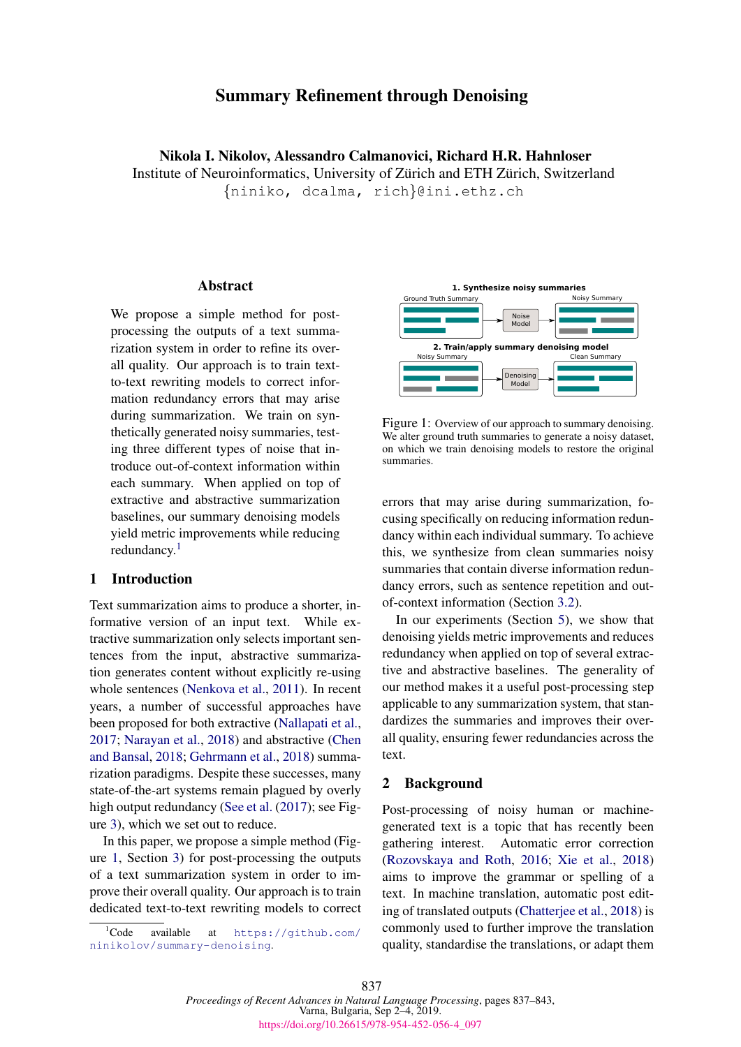# Summary Refinement through Denoising

Nikola I. Nikolov, Alessandro Calmanovici, Richard H.R. Hahnloser Institute of Neuroinformatics, University of Zürich and ETH Zürich, Switzerland

{niniko, dcalma, rich}@ini.ethz.ch

### **Abstract**

We propose a simple method for postprocessing the outputs of a text summarization system in order to refine its overall quality. Our approach is to train textto-text rewriting models to correct information redundancy errors that may arise during summarization. We train on synthetically generated noisy summaries, testing three different types of noise that introduce out-of-context information within each summary. When applied on top of extractive and abstractive summarization baselines, our summary denoising models yield metric improvements while reducing redundancy.<sup>[1](#page-0-0)</sup>

### 1 Introduction

Text summarization aims to produce a shorter, informative version of an input text. While extractive summarization only selects important sentences from the input, abstractive summarization generates content without explicitly re-using whole sentences [\(Nenkova et al.,](#page-6-0) [2011\)](#page-6-0). In recent years, a number of successful approaches have been proposed for both extractive [\(Nallapati et al.,](#page-6-1) [2017;](#page-6-1) [Narayan et al.,](#page-6-2) [2018\)](#page-6-2) and abstractive [\(Chen](#page-6-3) [and Bansal,](#page-6-3) [2018;](#page-6-3) [Gehrmann et al.,](#page-6-4) [2018\)](#page-6-4) summarization paradigms. Despite these successes, many state-of-the-art systems remain plagued by overly high output redundancy [\(See et al.](#page-6-5) [\(2017\)](#page-6-5); see Figure [3\)](#page-3-0), which we set out to reduce.

In this paper, we propose a simple method (Figure [1,](#page-0-1) Section [3\)](#page-1-0) for post-processing the outputs of a text summarization system in order to improve their overall quality. Our approach is to train dedicated text-to-text rewriting models to correct

<span id="page-0-0"></span> ${}^{1}$ Code available at [https://github.com/](https://github.com/ninikolov/summary-denoising) [ninikolov/summary-denoising](https://github.com/ninikolov/summary-denoising).

<span id="page-0-1"></span>

Figure 1: Overview of our approach to summary denoising. We alter ground truth summaries to generate a noisy dataset, on which we train denoising models to restore the original summaries.

errors that may arise during summarization, focusing specifically on reducing information redundancy within each individual summary. To achieve this, we synthesize from clean summaries noisy summaries that contain diverse information redundancy errors, such as sentence repetition and outof-context information (Section [3.2\)](#page-1-1).

In our experiments (Section [5\)](#page-2-0), we show that denoising yields metric improvements and reduces redundancy when applied on top of several extractive and abstractive baselines. The generality of our method makes it a useful post-processing step applicable to any summarization system, that standardizes the summaries and improves their overall quality, ensuring fewer redundancies across the text.

### 2 Background

Post-processing of noisy human or machinegenerated text is a topic that has recently been gathering interest. Automatic error correction [\(Rozovskaya and Roth,](#page-6-6) [2016;](#page-6-6) [Xie et al.,](#page-6-7) [2018\)](#page-6-7) aims to improve the grammar or spelling of a text. In machine translation, automatic post editing of translated outputs [\(Chatterjee et al.,](#page-6-8) [2018\)](#page-6-8) is commonly used to further improve the translation quality, standardise the translations, or adapt them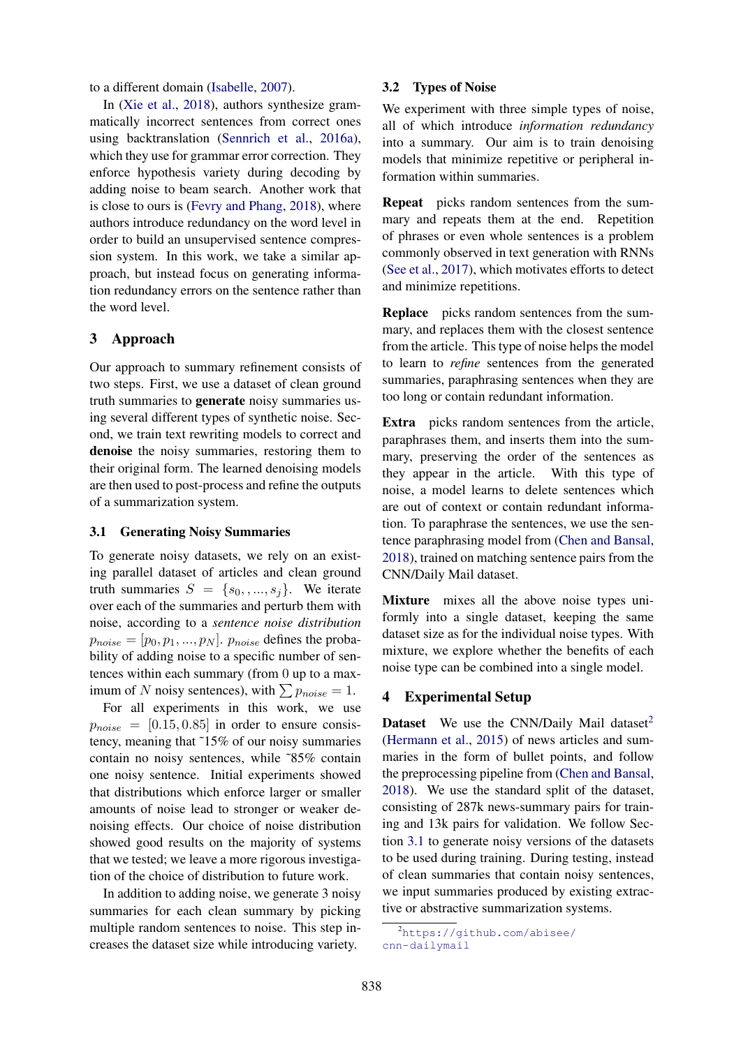to a different domain [\(Isabelle,](#page-6-9) [2007\)](#page-6-9).

In [\(Xie et al.,](#page-6-7) [2018\)](#page-6-7), authors synthesize grammatically incorrect sentences from correct ones using backtranslation [\(Sennrich et al.,](#page-6-10) [2016a\)](#page-6-10), which they use for grammar error correction. They enforce hypothesis variety during decoding by adding noise to beam search. Another work that is close to ours is [\(Fevry and Phang,](#page-6-11) [2018\)](#page-6-11), where authors introduce redundancy on the word level in order to build an unsupervised sentence compression system. In this work, we take a similar approach, but instead focus on generating information redundancy errors on the sentence rather than the word level.

#### <span id="page-1-0"></span>3 Approach

Our approach to summary refinement consists of two steps. First, we use a dataset of clean ground truth summaries to generate noisy summaries using several different types of synthetic noise. Second, we train text rewriting models to correct and denoise the noisy summaries, restoring them to their original form. The learned denoising models are then used to post-process and refine the outputs of a summarization system.

#### <span id="page-1-3"></span>3.1 Generating Noisy Summaries

To generate noisy datasets, we rely on an existing parallel dataset of articles and clean ground truth summaries  $S = \{s_0, ..., s_j\}$ . We iterate over each of the summaries and perturb them with noise, according to a *sentence noise distribution*  $p_{noise} = [p_0, p_1, ..., p_N]$ .  $p_{noise}$  defines the probability of adding noise to a specific number of sentences within each summary (from 0 up to a maximum of N noisy sentences), with  $\sum p_{noise} = 1$ .

For all experiments in this work, we use  $p_{noise} = [0.15, 0.85]$  in order to ensure consistency, meaning that ˜15% of our noisy summaries contain no noisy sentences, while ˜85% contain one noisy sentence. Initial experiments showed that distributions which enforce larger or smaller amounts of noise lead to stronger or weaker denoising effects. Our choice of noise distribution showed good results on the majority of systems that we tested; we leave a more rigorous investigation of the choice of distribution to future work.

In addition to adding noise, we generate 3 noisy summaries for each clean summary by picking multiple random sentences to noise. This step increases the dataset size while introducing variety.

#### <span id="page-1-1"></span>3.2 Types of Noise

We experiment with three simple types of noise, all of which introduce *information redundancy* into a summary. Our aim is to train denoising models that minimize repetitive or peripheral information within summaries.

Repeat picks random sentences from the summary and repeats them at the end. Repetition of phrases or even whole sentences is a problem commonly observed in text generation with RNNs [\(See et al.,](#page-6-5) [2017\)](#page-6-5), which motivates efforts to detect and minimize repetitions.

Replace picks random sentences from the summary, and replaces them with the closest sentence from the article. This type of noise helps the model to learn to *refine* sentences from the generated summaries, paraphrasing sentences when they are too long or contain redundant information.

Extra picks random sentences from the article, paraphrases them, and inserts them into the summary, preserving the order of the sentences as they appear in the article. With this type of noise, a model learns to delete sentences which are out of context or contain redundant information. To paraphrase the sentences, we use the sentence paraphrasing model from [\(Chen and Bansal,](#page-6-3) [2018\)](#page-6-3), trained on matching sentence pairs from the CNN/Daily Mail dataset.

Mixture mixes all the above noise types uniformly into a single dataset, keeping the same dataset size as for the individual noise types. With mixture, we explore whether the benefits of each noise type can be combined into a single model.

#### <span id="page-1-4"></span>4 Experimental Setup

**Dataset** We use the CNN/Daily Mail dataset<sup>[2](#page-1-2)</sup> [\(Hermann et al.,](#page-6-12) [2015\)](#page-6-12) of news articles and summaries in the form of bullet points, and follow the preprocessing pipeline from [\(Chen and Bansal,](#page-6-3) [2018\)](#page-6-3). We use the standard split of the dataset, consisting of 287k news-summary pairs for training and 13k pairs for validation. We follow Section [3.1](#page-1-3) to generate noisy versions of the datasets to be used during training. During testing, instead of clean summaries that contain noisy sentences, we input summaries produced by existing extractive or abstractive summarization systems.

<span id="page-1-2"></span><sup>2</sup>[https://github.com/abisee/](https://github.com/abisee/cnn-dailymail) [cnn-dailymail](https://github.com/abisee/cnn-dailymail)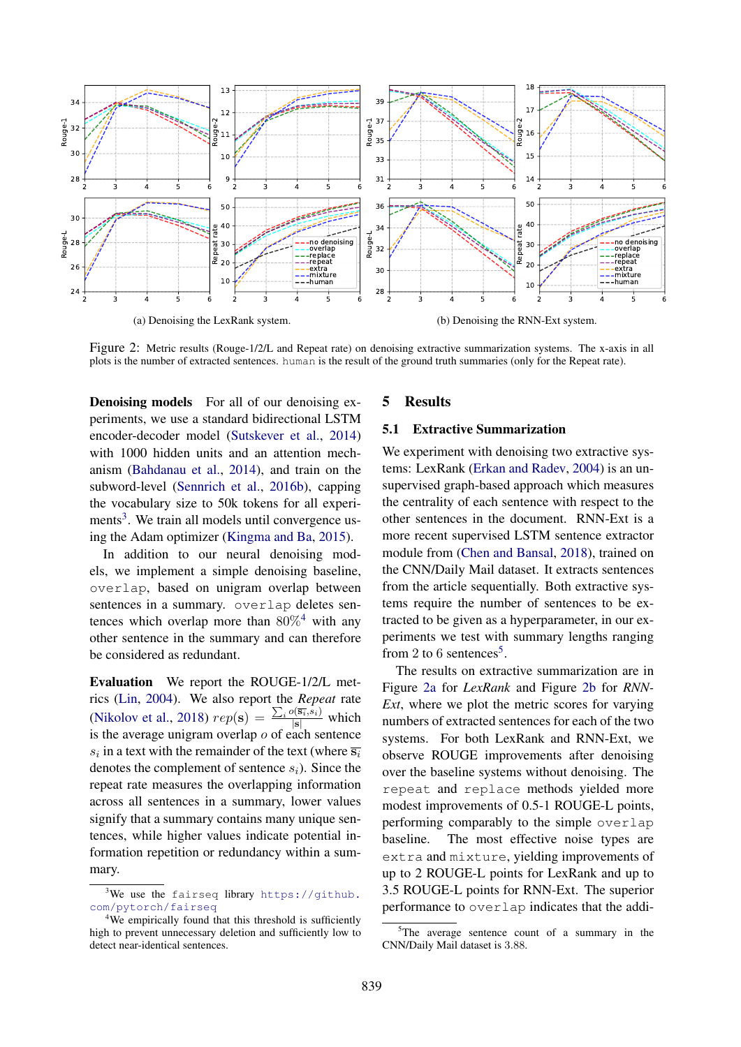<span id="page-2-4"></span>

Figure 2: Metric results (Rouge-1/2/L and Repeat rate) on denoising extractive summarization systems. The x-axis in all plots is the number of extracted sentences. human is the result of the ground truth summaries (only for the Repeat rate).

Denoising models For all of our denoising experiments, we use a standard bidirectional LSTM encoder-decoder model [\(Sutskever et al.,](#page-6-13) [2014\)](#page-6-13) with 1000 hidden units and an attention mechanism [\(Bahdanau et al.,](#page-6-14) [2014\)](#page-6-14), and train on the subword-level [\(Sennrich et al.,](#page-6-15) [2016b\)](#page-6-15), capping the vocabulary size to 50k tokens for all experi-ments<sup>[3](#page-2-1)</sup>. We train all models until convergence using the Adam optimizer [\(Kingma and Ba,](#page-6-16) [2015\)](#page-6-16).

In addition to our neural denoising models, we implement a simple denoising baseline, overlap, based on unigram overlap between sentences in a summary. overlap deletes sentences which overlap more than  $80\%^4$  $80\%^4$  with any other sentence in the summary and can therefore be considered as redundant.

Evaluation We report the ROUGE-1/2/L metrics [\(Lin,](#page-6-17) [2004\)](#page-6-17). We also report the *Repeat* rate [\(Nikolov et al.,](#page-6-18) [2018\)](#page-6-18)  $rep(s) = \frac{\sum_i o(\overline{s_i}, s_i)}{|s|}$  which is the average unigram overlap  $o$  of each sentence  $s_i$  in a text with the remainder of the text (where  $\overline{s_i}$ ) denotes the complement of sentence  $s_i$ ). Since the repeat rate measures the overlapping information across all sentences in a summary, lower values signify that a summary contains many unique sentences, while higher values indicate potential information repetition or redundancy within a summary.

### <span id="page-2-0"></span>5 Results

#### 5.1 Extractive Summarization

We experiment with denoising two extractive systems: LexRank [\(Erkan and Radev,](#page-6-19) [2004\)](#page-6-19) is an unsupervised graph-based approach which measures the centrality of each sentence with respect to the other sentences in the document. RNN-Ext is a more recent supervised LSTM sentence extractor module from [\(Chen and Bansal,](#page-6-3) [2018\)](#page-6-3), trained on the CNN/Daily Mail dataset. It extracts sentences from the article sequentially. Both extractive systems require the number of sentences to be extracted to be given as a hyperparameter, in our experiments we test with summary lengths ranging from 2 to 6 sentences<sup>[5](#page-2-3)</sup>.

The results on extractive summarization are in Figure [2a](#page-2-4) for *LexRank* and Figure [2b](#page-2-4) for *RNN-Ext*, where we plot the metric scores for varying numbers of extracted sentences for each of the two systems. For both LexRank and RNN-Ext, we observe ROUGE improvements after denoising over the baseline systems without denoising. The repeat and replace methods yielded more modest improvements of 0.5-1 ROUGE-L points, performing comparably to the simple overlap baseline. The most effective noise types are extra and mixture, yielding improvements of up to 2 ROUGE-L points for LexRank and up to 3.5 ROUGE-L points for RNN-Ext. The superior performance to overlap indicates that the addi-

<span id="page-2-1"></span> $3$ We use the fairseq library [https://github.](https://github.com/pytorch/fairseq) [com/pytorch/fairseq](https://github.com/pytorch/fairseq)

<span id="page-2-2"></span><sup>&</sup>lt;sup>4</sup>We empirically found that this threshold is sufficiently high to prevent unnecessary deletion and sufficiently low to detect near-identical sentences.

<span id="page-2-3"></span> $5$ The average sentence count of a summary in the CNN/Daily Mail dataset is 3.88.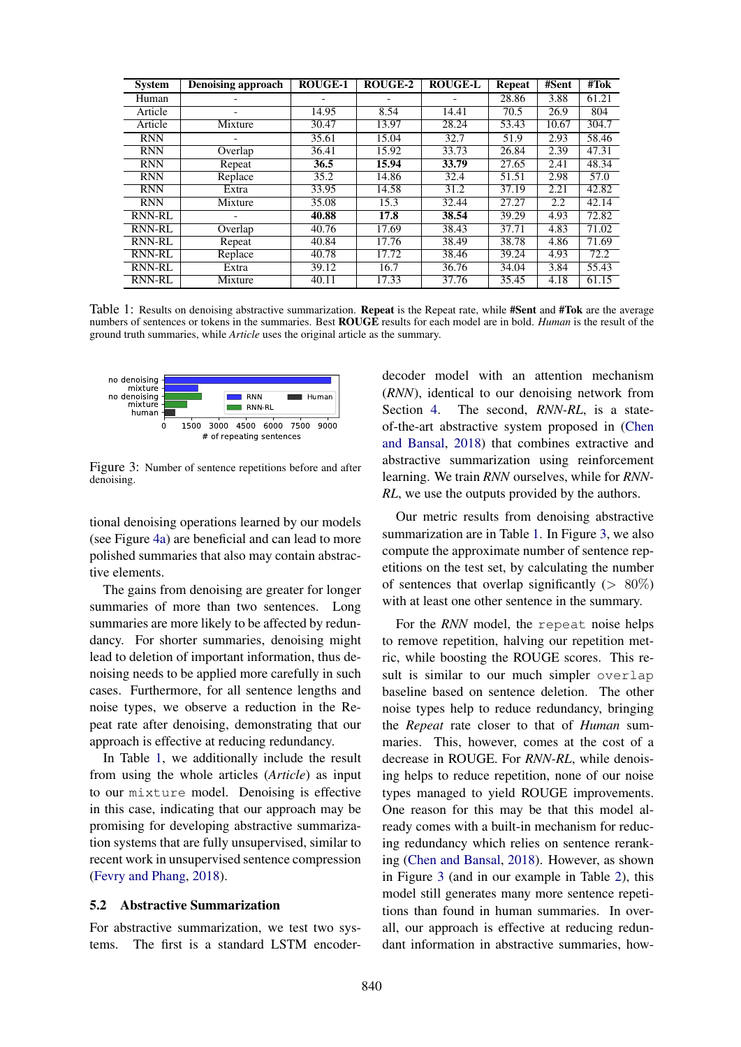<span id="page-3-1"></span>

| <b>System</b> | <b>Denoising approach</b> | <b>ROUGE-1</b> | ROUGE-2 | <b>ROUGE-L</b> | <b>Repeat</b> | #Sent | $#T$ ok |
|---------------|---------------------------|----------------|---------|----------------|---------------|-------|---------|
| Human         |                           |                |         |                | 28.86         | 3.88  | 61.21   |
| Article       |                           | 14.95          | 8.54    | 14.41          | 70.5          | 26.9  | 804     |
| Article       | Mixture                   | 30.47          | 13.97   | 28.24          | 53.43         | 10.67 | 304.7   |
| <b>RNN</b>    |                           | 35.61          | 15.04   | 32.7           | 51.9          | 2.93  | 58.46   |
| <b>RNN</b>    | Overlap                   | 36.41          | 15.92   | 33.73          | 26.84         | 2.39  | 47.31   |
| <b>RNN</b>    | Repeat                    | 36.5           | 15.94   | 33.79          | 27.65         | 2.41  | 48.34   |
| <b>RNN</b>    | Replace                   | 35.2           | 14.86   | 32.4           | 51.51         | 2.98  | 57.0    |
| <b>RNN</b>    | Extra                     | 33.95          | 14.58   | 31.2           | 37.19         | 2.21  | 42.82   |
| <b>RNN</b>    | Mixture                   | 35.08          | 15.3    | 32.44          | 27.27         | 2.2   | 42.14   |
| <b>RNN-RL</b> |                           | 40.88          | 17.8    | 38.54          | 39.29         | 4.93  | 72.82   |
| <b>RNN-RL</b> | Overlap                   | 40.76          | 17.69   | 38.43          | 37.71         | 4.83  | 71.02   |
| <b>RNN-RL</b> | Repeat                    | 40.84          | 17.76   | 38.49          | 38.78         | 4.86  | 71.69   |
| <b>RNN-RL</b> | Replace                   | 40.78          | 17.72   | 38.46          | 39.24         | 4.93  | 72.2    |
| <b>RNN-RL</b> | Extra                     | 39.12          | 16.7    | 36.76          | 34.04         | 3.84  | 55.43   |
| <b>RNN-RL</b> | Mixture                   | 40.11          | 17.33   | 37.76          | 35.45         | 4.18  | 61.15   |

Table 1: Results on denoising abstractive summarization. Repeat is the Repeat rate, while #Sent and #Tok are the average numbers of sentences or tokens in the summaries. Best ROUGE results for each model are in bold. *Human* is the result of the ground truth summaries, while *Article* uses the original article as the summary.

<span id="page-3-0"></span>

Figure 3: Number of sentence repetitions before and after denoising.

tional denoising operations learned by our models (see Figure [4a\)](#page-4-0) are beneficial and can lead to more polished summaries that also may contain abstractive elements.

The gains from denoising are greater for longer summaries of more than two sentences. Long summaries are more likely to be affected by redundancy. For shorter summaries, denoising might lead to deletion of important information, thus denoising needs to be applied more carefully in such cases. Furthermore, for all sentence lengths and noise types, we observe a reduction in the Repeat rate after denoising, demonstrating that our approach is effective at reducing redundancy.

In Table [1,](#page-3-1) we additionally include the result from using the whole articles (*Article*) as input to our mixture model. Denoising is effective in this case, indicating that our approach may be promising for developing abstractive summarization systems that are fully unsupervised, similar to recent work in unsupervised sentence compression [\(Fevry and Phang,](#page-6-11) [2018\)](#page-6-11).

#### 5.2 Abstractive Summarization

For abstractive summarization, we test two systems. The first is a standard LSTM encoder-

decoder model with an attention mechanism (*RNN*), identical to our denoising network from Section [4.](#page-1-4) The second, *RNN-RL*, is a stateof-the-art abstractive system proposed in [\(Chen](#page-6-3) [and Bansal,](#page-6-3) [2018\)](#page-6-3) that combines extractive and abstractive summarization using reinforcement learning. We train *RNN* ourselves, while for *RNN-RL*, we use the outputs provided by the authors.

Our metric results from denoising abstractive summarization are in Table [1.](#page-3-1) In Figure [3,](#page-3-0) we also compute the approximate number of sentence repetitions on the test set, by calculating the number of sentences that overlap significantly ( $> 80\%$ ) with at least one other sentence in the summary.

For the *RNN* model, the repeat noise helps to remove repetition, halving our repetition metric, while boosting the ROUGE scores. This result is similar to our much simpler overlap baseline based on sentence deletion. The other noise types help to reduce redundancy, bringing the *Repeat* rate closer to that of *Human* summaries. This, however, comes at the cost of a decrease in ROUGE. For *RNN-RL*, while denoising helps to reduce repetition, none of our noise types managed to yield ROUGE improvements. One reason for this may be that this model already comes with a built-in mechanism for reducing redundancy which relies on sentence reranking [\(Chen and Bansal,](#page-6-3) [2018\)](#page-6-3). However, as shown in Figure [3](#page-3-0) (and in our example in Table [2\)](#page-5-0), this model still generates many more sentence repetitions than found in human summaries. In overall, our approach is effective at reducing redundant information in abstractive summaries, how-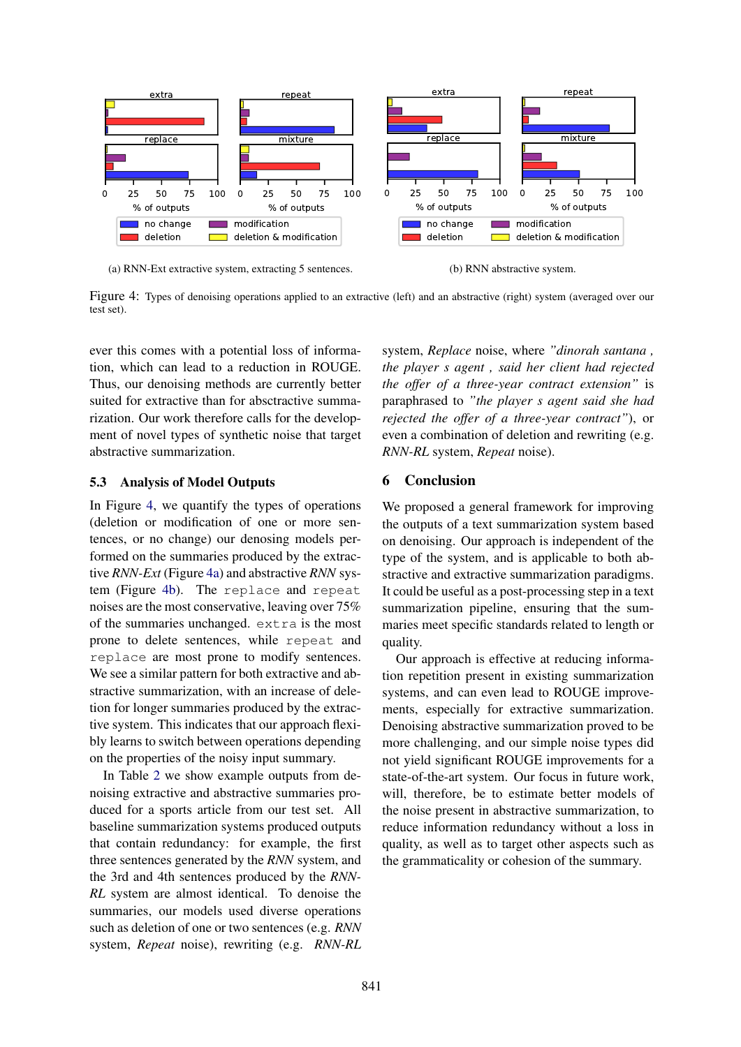<span id="page-4-0"></span>

(a) RNN-Ext extractive system, extracting 5 sentences.

(b) RNN abstractive system.

Figure 4: Types of denoising operations applied to an extractive (left) and an abstractive (right) system (averaged over our test set).

ever this comes with a potential loss of information, which can lead to a reduction in ROUGE. Thus, our denoising methods are currently better suited for extractive than for absctractive summarization. Our work therefore calls for the development of novel types of synthetic noise that target abstractive summarization.

# 5.3 Analysis of Model Outputs

In Figure [4,](#page-4-0) we quantify the types of operations (deletion or modification of one or more sentences, or no change) our denosing models performed on the summaries produced by the extractive *RNN-Ext* (Figure [4a\)](#page-4-0) and abstractive *RNN* system (Figure [4b\)](#page-4-0). The replace and repeat noises are the most conservative, leaving over 75% of the summaries unchanged. extra is the most prone to delete sentences, while repeat and replace are most prone to modify sentences. We see a similar pattern for both extractive and abstractive summarization, with an increase of deletion for longer summaries produced by the extractive system. This indicates that our approach flexibly learns to switch between operations depending on the properties of the noisy input summary.

In Table [2](#page-5-0) we show example outputs from denoising extractive and abstractive summaries produced for a sports article from our test set. All baseline summarization systems produced outputs that contain redundancy: for example, the first three sentences generated by the *RNN* system, and the 3rd and 4th sentences produced by the *RNN-RL* system are almost identical. To denoise the summaries, our models used diverse operations such as deletion of one or two sentences (e.g. *RNN* system, *Repeat* noise), rewriting (e.g. *RNN-RL*

system, *Replace* noise, where *"dinorah santana , the player s agent , said her client had rejected the offer of a three-year contract extension"* is paraphrased to *"the player s agent said she had rejected the offer of a three-year contract"*), or even a combination of deletion and rewriting (e.g. *RNN-RL* system, *Repeat* noise).

# 6 Conclusion

We proposed a general framework for improving the outputs of a text summarization system based on denoising. Our approach is independent of the type of the system, and is applicable to both abstractive and extractive summarization paradigms. It could be useful as a post-processing step in a text summarization pipeline, ensuring that the summaries meet specific standards related to length or quality.

Our approach is effective at reducing information repetition present in existing summarization systems, and can even lead to ROUGE improvements, especially for extractive summarization. Denoising abstractive summarization proved to be more challenging, and our simple noise types did not yield significant ROUGE improvements for a state-of-the-art system. Our focus in future work, will, therefore, be to estimate better models of the noise present in abstractive summarization, to reduce information redundancy without a loss in quality, as well as to target other aspects such as the grammaticality or cohesion of the summary.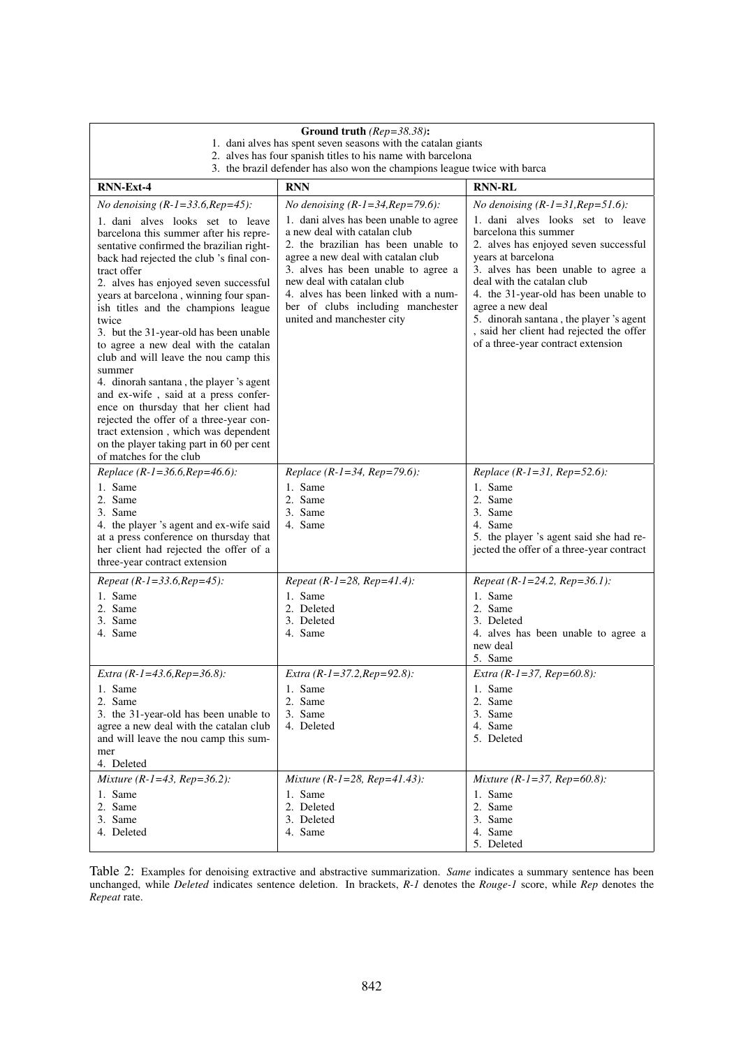<span id="page-5-0"></span>

| Ground truth ( $Rep=38.38$ ):                                                                                                                                                                                                                                                                                                                                                                                                                                                                                                                                                                                                                                                                                                                  |                                                                                                                                                                                                                                                                                                                                     |                                                                                                                                                                                                                                                                                                                                                                                         |  |  |  |  |  |  |
|------------------------------------------------------------------------------------------------------------------------------------------------------------------------------------------------------------------------------------------------------------------------------------------------------------------------------------------------------------------------------------------------------------------------------------------------------------------------------------------------------------------------------------------------------------------------------------------------------------------------------------------------------------------------------------------------------------------------------------------------|-------------------------------------------------------------------------------------------------------------------------------------------------------------------------------------------------------------------------------------------------------------------------------------------------------------------------------------|-----------------------------------------------------------------------------------------------------------------------------------------------------------------------------------------------------------------------------------------------------------------------------------------------------------------------------------------------------------------------------------------|--|--|--|--|--|--|
| 1. dani alves has spent seven seasons with the catalan giants<br>2. alves has four spanish titles to his name with barcelona                                                                                                                                                                                                                                                                                                                                                                                                                                                                                                                                                                                                                   |                                                                                                                                                                                                                                                                                                                                     |                                                                                                                                                                                                                                                                                                                                                                                         |  |  |  |  |  |  |
| 3. the brazil defender has also won the champions league twice with barca                                                                                                                                                                                                                                                                                                                                                                                                                                                                                                                                                                                                                                                                      |                                                                                                                                                                                                                                                                                                                                     |                                                                                                                                                                                                                                                                                                                                                                                         |  |  |  |  |  |  |
| <b>RNN-Ext-4</b>                                                                                                                                                                                                                                                                                                                                                                                                                                                                                                                                                                                                                                                                                                                               | <b>RNN</b>                                                                                                                                                                                                                                                                                                                          | <b>RNN-RL</b>                                                                                                                                                                                                                                                                                                                                                                           |  |  |  |  |  |  |
| <i>No denoising</i> $(R - 1 = 33.6, Rep = 45)$ :                                                                                                                                                                                                                                                                                                                                                                                                                                                                                                                                                                                                                                                                                               | <i>No denoising</i> $(R - 1 = 34, Rep = 79.6)$ :                                                                                                                                                                                                                                                                                    | No denoising $(R-I=3I, Rep=5I.6)$ :                                                                                                                                                                                                                                                                                                                                                     |  |  |  |  |  |  |
| 1. dani alves looks set to leave<br>barcelona this summer after his repre-<br>sentative confirmed the brazilian right-<br>back had rejected the club 's final con-<br>tract offer<br>2. alves has enjoyed seven successful<br>years at barcelona, winning four span-<br>ish titles and the champions league<br>twice<br>3. but the 31-year-old has been unable<br>to agree a new deal with the catalan<br>club and will leave the nou camp this<br>summer<br>4. dinorah santana, the player 's agent<br>and ex-wife, said at a press confer-<br>ence on thursday that her client had<br>rejected the offer of a three-year con-<br>tract extension, which was dependent<br>on the player taking part in 60 per cent<br>of matches for the club | 1. dani alves has been unable to agree<br>a new deal with catalan club<br>2. the brazilian has been unable to<br>agree a new deal with catalan club<br>3. alves has been unable to agree a<br>new deal with catalan club<br>4. alves has been linked with a num-<br>ber of clubs including manchester<br>united and manchester city | 1. dani alves looks set to leave<br>barcelona this summer<br>2. alves has enjoyed seven successful<br>years at barcelona<br>3. alves has been unable to agree a<br>deal with the catalan club<br>4. the 31-year-old has been unable to<br>agree a new deal<br>5. dinorah santana, the player 's agent<br>, said her client had rejected the offer<br>of a three-year contract extension |  |  |  |  |  |  |
| Replace (R-1=36.6, Rep=46.6):<br>1. Same<br>2. Same<br>3. Same<br>4. the player 's agent and ex-wife said<br>at a press conference on thursday that<br>her client had rejected the offer of a<br>three-year contract extension                                                                                                                                                                                                                                                                                                                                                                                                                                                                                                                 | Replace (R-1=34, Rep=79.6):<br>1. Same<br>2. Same<br>3. Same<br>4. Same                                                                                                                                                                                                                                                             | Replace (R-1=31, Rep=52.6):<br>1. Same<br>2. Same<br>3. Same<br>4. Same<br>5. the player 's agent said she had re-<br>jected the offer of a three-year contract                                                                                                                                                                                                                         |  |  |  |  |  |  |
| Repeat (R-1=33.6, Rep=45):                                                                                                                                                                                                                                                                                                                                                                                                                                                                                                                                                                                                                                                                                                                     | Repeat (R-1=28, Rep=41.4):                                                                                                                                                                                                                                                                                                          | Repeat (R-1=24.2, Rep=36.1):                                                                                                                                                                                                                                                                                                                                                            |  |  |  |  |  |  |
| 1. Same<br>2. Same<br>3. Same<br>4. Same                                                                                                                                                                                                                                                                                                                                                                                                                                                                                                                                                                                                                                                                                                       | 1. Same<br>2. Deleted<br>3. Deleted<br>4. Same                                                                                                                                                                                                                                                                                      | 1. Same<br>2. Same<br>3. Deleted<br>4. alves has been unable to agree a<br>new deal<br>5. Same                                                                                                                                                                                                                                                                                          |  |  |  |  |  |  |
| Extra $(R - 1 = 43.6, Rep = 36.8)$ :<br>1. Same<br>2. Same<br>3. the 31-year-old has been unable to<br>agree a new deal with the catalan club<br>and will leave the nou camp this sum-<br>mer<br>4. Deleted                                                                                                                                                                                                                                                                                                                                                                                                                                                                                                                                    | Extra $(R - 1 = 37.2, Rep = 92.8)$ :<br>1. Same<br>2. Same<br>3. Same<br>4. Deleted                                                                                                                                                                                                                                                 | Extra $(R - 1 = 37, Rep = 60.8)$ :<br>1. Same<br>2. Same<br>3. Same<br>4. Same<br>5. Deleted                                                                                                                                                                                                                                                                                            |  |  |  |  |  |  |
| Mixture ( $R$ -1=43, $Rep=36.2$ ):<br>1. Same<br>2. Same<br>3. Same<br>4. Deleted                                                                                                                                                                                                                                                                                                                                                                                                                                                                                                                                                                                                                                                              | Mixture ( $R-I=28$ , $Rep=41.43$ ):<br>1. Same<br>2. Deleted<br>3. Deleted<br>4. Same                                                                                                                                                                                                                                               | Mixture ( $R - l = 37$ , $Rep = 60.8$ ):<br>1. Same<br>2. Same<br>3. Same<br>4. Same<br>5. Deleted                                                                                                                                                                                                                                                                                      |  |  |  |  |  |  |

Table 2: Examples for denoising extractive and abstractive summarization. *Same* indicates a summary sentence has been unchanged, while *Deleted* indicates sentence deletion. In brackets, *R-1* denotes the *Rouge-1* score, while *Rep* denotes the *Repeat* rate.